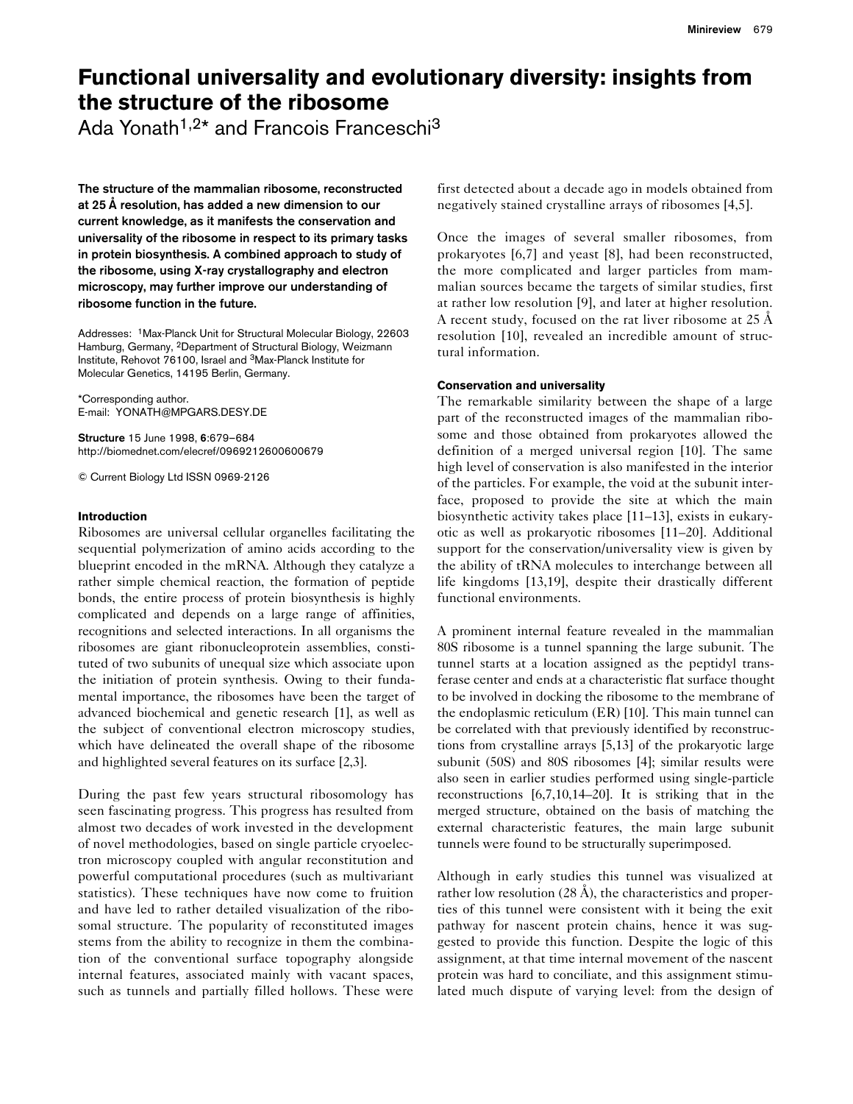# **Functional universality and evolutionary diversity: insights from the structure of the ribosome**

Ada Yonath<sup>1,2\*</sup> and Francois Franceschi<sup>3</sup>

**The structure of the mammalian ribosome, reconstructed at 25 Å resolution, has added a new dimension to our current knowledge, as it manifests the conservation and universality of the ribosome in respect to its primary tasks in protein biosynthesis. A combined approach to study of the ribosome, using X-ray crystallography and electron microscopy, may further improve our understanding of ribosome function in the future.**

Addresses: 1Max-Planck Unit for Structural Molecular Biology, 22603 Hamburg, Germany, 2Department of Structural Biology, Weizmann Institute, Rehovot 76100, Israel and 3Max-Planck Institute for Molecular Genetics, 14195 Berlin, Germany.

\*Corresponding author. E-mail: YONATH@MPGARS.DESY.DE

**Structure** 15 June 1998, **6**:679–684 http://biomednet.com/elecref/0969212600600679

© Current Biology Ltd ISSN 0969-2126

## **Introduction**

Ribosomes are universal cellular organelles facilitating the sequential polymerization of amino acids according to the blueprint encoded in the mRNA. Although they catalyze a rather simple chemical reaction, the formation of peptide bonds, the entire process of protein biosynthesis is highly complicated and depends on a large range of affinities, recognitions and selected interactions. In all organisms the ribosomes are giant ribonucleoprotein assemblies, constituted of two subunits of unequal size which associate upon the initiation of protein synthesis. Owing to their fundamental importance, the ribosomes have been the target of advanced biochemical and genetic research [1], as well as the subject of conventional electron microscopy studies, which have delineated the overall shape of the ribosome and highlighted several features on its surface [2,3].

During the past few years structural ribosomology has seen fascinating progress. This progress has resulted from almost two decades of work invested in the development of novel methodologies, based on single particle cryoelectron microscopy coupled with angular reconstitution and powerful computational procedures (such as multivariant statistics). These techniques have now come to fruition and have led to rather detailed visualization of the ribosomal structure. The popularity of reconstituted images stems from the ability to recognize in them the combination of the conventional surface topography alongside internal features, associated mainly with vacant spaces, such as tunnels and partially filled hollows. These were first detected about a decade ago in models obtained from negatively stained crystalline arrays of ribosomes [4,5].

Once the images of several smaller ribosomes, from prokaryotes [6,7] and yeast [8], had been reconstructed, the more complicated and larger particles from mammalian sources became the targets of similar studies, first at rather low resolution [9], and later at higher resolution. A recent study, focused on the rat liver ribosome at 25 Å resolution [10], revealed an incredible amount of structural information.

#### **Conservation and universality**

The remarkable similarity between the shape of a large part of the reconstructed images of the mammalian ribosome and those obtained from prokaryotes allowed the definition of a merged universal region [10]. The same high level of conservation is also manifested in the interior of the particles. For example, the void at the subunit interface, proposed to provide the site at which the main biosynthetic activity takes place [11–13], exists in eukaryotic as well as prokaryotic ribosomes [11–20]. Additional support for the conservation/universality view is given by the ability of tRNA molecules to interchange between all life kingdoms [13,19], despite their drastically different functional environments.

A prominent internal feature revealed in the mammalian 80S ribosome is a tunnel spanning the large subunit. The tunnel starts at a location assigned as the peptidyl transferase center and ends at a characteristic flat surface thought to be involved in docking the ribosome to the membrane of the endoplasmic reticulum (ER) [10]. This main tunnel can be correlated with that previously identified by reconstructions from crystalline arrays [5,13] of the prokaryotic large subunit (50S) and 80S ribosomes [4]; similar results were also seen in earlier studies performed using single-particle reconstructions [6,7,10,14–20]. It is striking that in the merged structure, obtained on the basis of matching the external characteristic features, the main large subunit tunnels were found to be structurally superimposed.

Although in early studies this tunnel was visualized at rather low resolution (28 Å), the characteristics and properties of this tunnel were consistent with it being the exit pathway for nascent protein chains, hence it was suggested to provide this function. Despite the logic of this assignment, at that time internal movement of the nascent protein was hard to conciliate, and this assignment stimulated much dispute of varying level: from the design of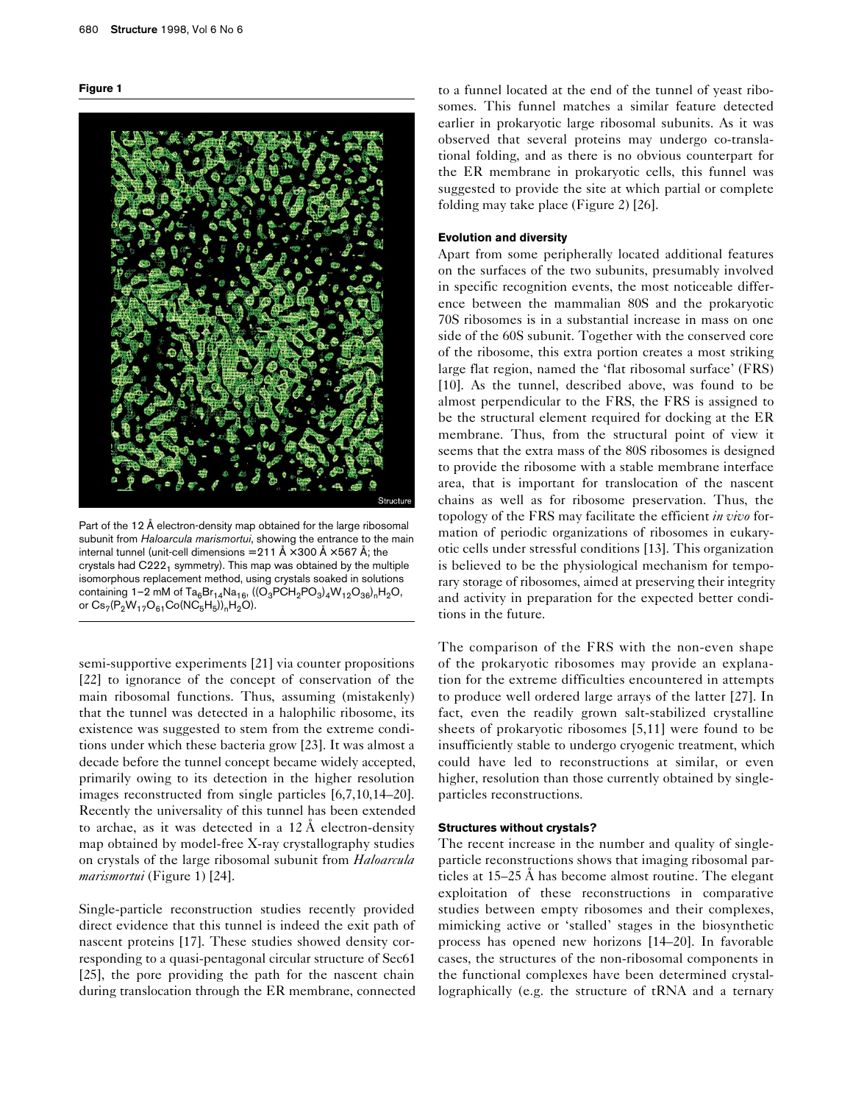### **Figure 1**



Part of the 12 Å electron-density map obtained for the large ribosomal subunit from *Haloarcula marismortui*, showing the entrance to the main internal tunnel (unit-cell dimensions = 211 Å  $\times$  300 Å  $\times$  567 Å; the crystals had  $C222<sub>1</sub>$  symmetry). This map was obtained by the multiple isomorphous replacement method, using crystals soaked in solutions containing 1–2 mM of Ta<sub>6</sub>Br<sub>14</sub>Na<sub>16</sub>, ((O<sub>3</sub>PCH<sub>2</sub>PO<sub>3</sub>)<sub>4</sub>W<sub>12</sub>O<sub>36</sub>)<sub>n</sub>H<sub>2</sub>O, or  $Cs_7(P_2W_{17}O_{61}Co(NC_5H_5))_nH_2O$ .

semi-supportive experiments [21] via counter propositions [22] to ignorance of the concept of conservation of the main ribosomal functions. Thus, assuming (mistakenly) that the tunnel was detected in a halophilic ribosome, its existence was suggested to stem from the extreme conditions under which these bacteria grow [23]. It was almost a decade before the tunnel concept became widely accepted, primarily owing to its detection in the higher resolution images reconstructed from single particles [6,7,10,14–20]. Recently the universality of this tunnel has been extended to archae, as it was detected in a 12 Å electron-density map obtained by model-free X-ray crystallography studies on crystals of the large ribosomal subunit from *Haloarcula marismortui* (Figure 1) [24].

Single-particle reconstruction studies recently provided direct evidence that this tunnel is indeed the exit path of nascent proteins [17]. These studies showed density corresponding to a quasi-pentagonal circular structure of Sec61 [25], the pore providing the path for the nascent chain during translocation through the ER membrane, connected to a funnel located at the end of the tunnel of yeast ribosomes. This funnel matches a similar feature detected earlier in prokaryotic large ribosomal subunits. As it was observed that several proteins may undergo co-translational folding, and as there is no obvious counterpart for the ER membrane in prokaryotic cells, this funnel was suggested to provide the site at which partial or complete folding may take place (Figure 2) [26].

### **Evolution and diversity**

Apart from some peripherally located additional features on the surfaces of the two subunits, presumably involved in specific recognition events, the most noticeable difference between the mammalian 80S and the prokaryotic 70S ribosomes is in a substantial increase in mass on one side of the 60S subunit. Together with the conserved core of the ribosome, this extra portion creates a most striking large flat region, named the 'flat ribosomal surface' (FRS) [10]. As the tunnel, described above, was found to be almost perpendicular to the FRS, the FRS is assigned to be the structural element required for docking at the ER membrane. Thus, from the structural point of view it seems that the extra mass of the 80S ribosomes is designed to provide the ribosome with a stable membrane interface area, that is important for translocation of the nascent chains as well as for ribosome preservation. Thus, the topology of the FRS may facilitate the efficient *in vivo* formation of periodic organizations of ribosomes in eukaryotic cells under stressful conditions [13]. This organization is believed to be the physiological mechanism for temporary storage of ribosomes, aimed at preserving their integrity and activity in preparation for the expected better conditions in the future.

The comparison of the FRS with the non-even shape of the prokaryotic ribosomes may provide an explanation for the extreme difficulties encountered in attempts to produce well ordered large arrays of the latter [27]. In fact, even the readily grown salt-stabilized crystalline sheets of prokaryotic ribosomes [5,11] were found to be insufficiently stable to undergo cryogenic treatment, which could have led to reconstructions at similar, or even higher, resolution than those currently obtained by singleparticles reconstructions.

# **Structures without crystals?**

The recent increase in the number and quality of singleparticle reconstructions shows that imaging ribosomal particles at 15–25 Å has become almost routine. The elegant exploitation of these reconstructions in comparative studies between empty ribosomes and their complexes, mimicking active or 'stalled' stages in the biosynthetic process has opened new horizons [14–20]. In favorable cases, the structures of the non-ribosomal components in the functional complexes have been determined crystallographically (e.g. the structure of tRNA and a ternary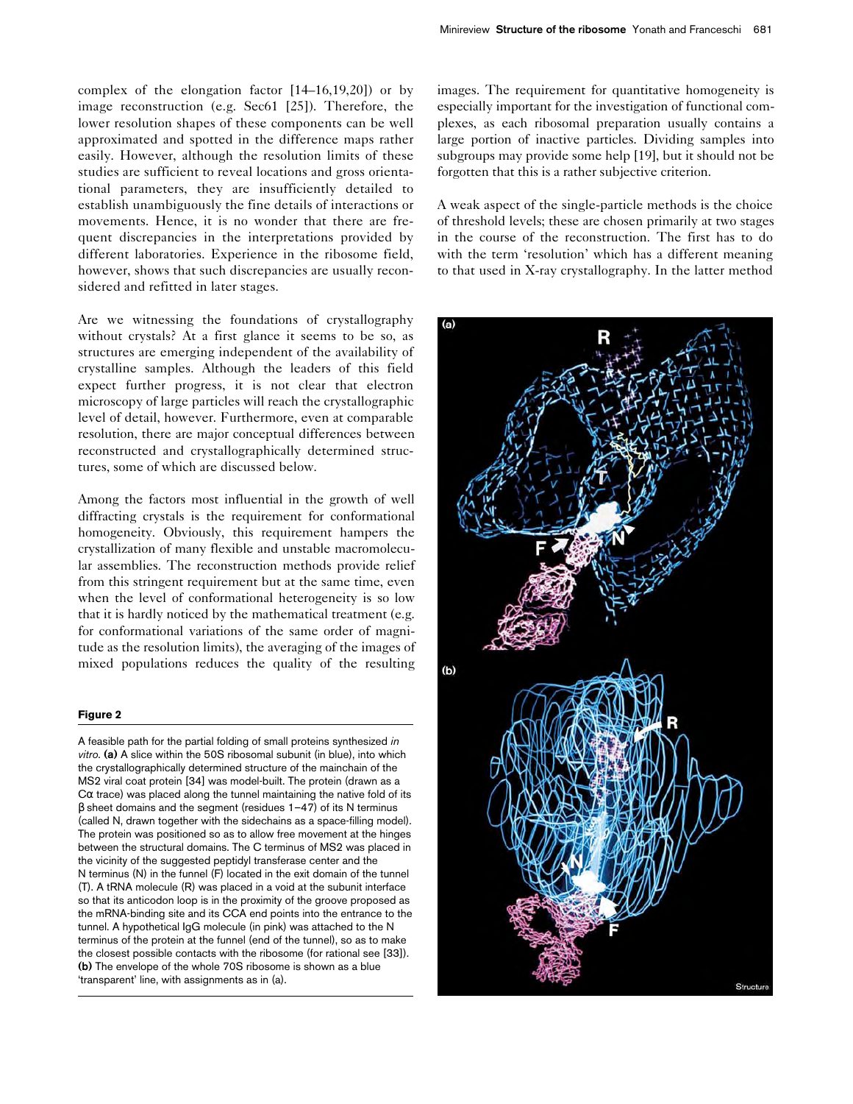complex of the elongation factor [14–16,19,20]) or by image reconstruction (e.g. Sec61 [25]). Therefore, the lower resolution shapes of these components can be well approximated and spotted in the difference maps rather easily. However, although the resolution limits of these studies are sufficient to reveal locations and gross orientational parameters, they are insufficiently detailed to establish unambiguously the fine details of interactions or movements. Hence, it is no wonder that there are frequent discrepancies in the interpretations provided by different laboratories. Experience in the ribosome field, however, shows that such discrepancies are usually reconsidered and refitted in later stages.

Are we witnessing the foundations of crystallography without crystals? At a first glance it seems to be so, as structures are emerging independent of the availability of crystalline samples. Although the leaders of this field expect further progress, it is not clear that electron microscopy of large particles will reach the crystallographic level of detail, however. Furthermore, even at comparable resolution, there are major conceptual differences between reconstructed and crystallographically determined structures, some of which are discussed below.

Among the factors most influential in the growth of well diffracting crystals is the requirement for conformational homogeneity. Obviously, this requirement hampers the crystallization of many flexible and unstable macromolecular assemblies. The reconstruction methods provide relief from this stringent requirement but at the same time, even when the level of conformational heterogeneity is so low that it is hardly noticed by the mathematical treatment (e.g. for conformational variations of the same order of magnitude as the resolution limits), the averaging of the images of mixed populations reduces the quality of the resulting

#### **Figure 2**

A feasible path for the partial folding of small proteins synthesized *in vitro*. **(a)** A slice within the 50S ribosomal subunit (in blue), into which the crystallographically determined structure of the mainchain of the MS2 viral coat protein [34] was model-built. The protein (drawn as a  $C\alpha$  trace) was placed along the tunnel maintaining the native fold of its  $β$  sheet domains and the segment (residues  $1-47$ ) of its N terminus (called N, drawn together with the sidechains as a space-filling model). The protein was positioned so as to allow free movement at the hinges between the structural domains. The C terminus of MS2 was placed in the vicinity of the suggested peptidyl transferase center and the N terminus (N) in the funnel (F) located in the exit domain of the tunnel (T). A tRNA molecule (R) was placed in a void at the subunit interface so that its anticodon loop is in the proximity of the groove proposed as the mRNA-binding site and its CCA end points into the entrance to the tunnel. A hypothetical IgG molecule (in pink) was attached to the N terminus of the protein at the funnel (end of the tunnel), so as to make the closest possible contacts with the ribosome (for rational see [33]). **(b)** The envelope of the whole 70S ribosome is shown as a blue 'transparent' line, with assignments as in (a).

images. The requirement for quantitative homogeneity is especially important for the investigation of functional complexes, as each ribosomal preparation usually contains a large portion of inactive particles. Dividing samples into subgroups may provide some help [19], but it should not be forgotten that this is a rather subjective criterion.

A weak aspect of the single-particle methods is the choice of threshold levels; these are chosen primarily at two stages in the course of the reconstruction. The first has to do with the term 'resolution' which has a different meaning to that used in X-ray crystallography. In the latter method

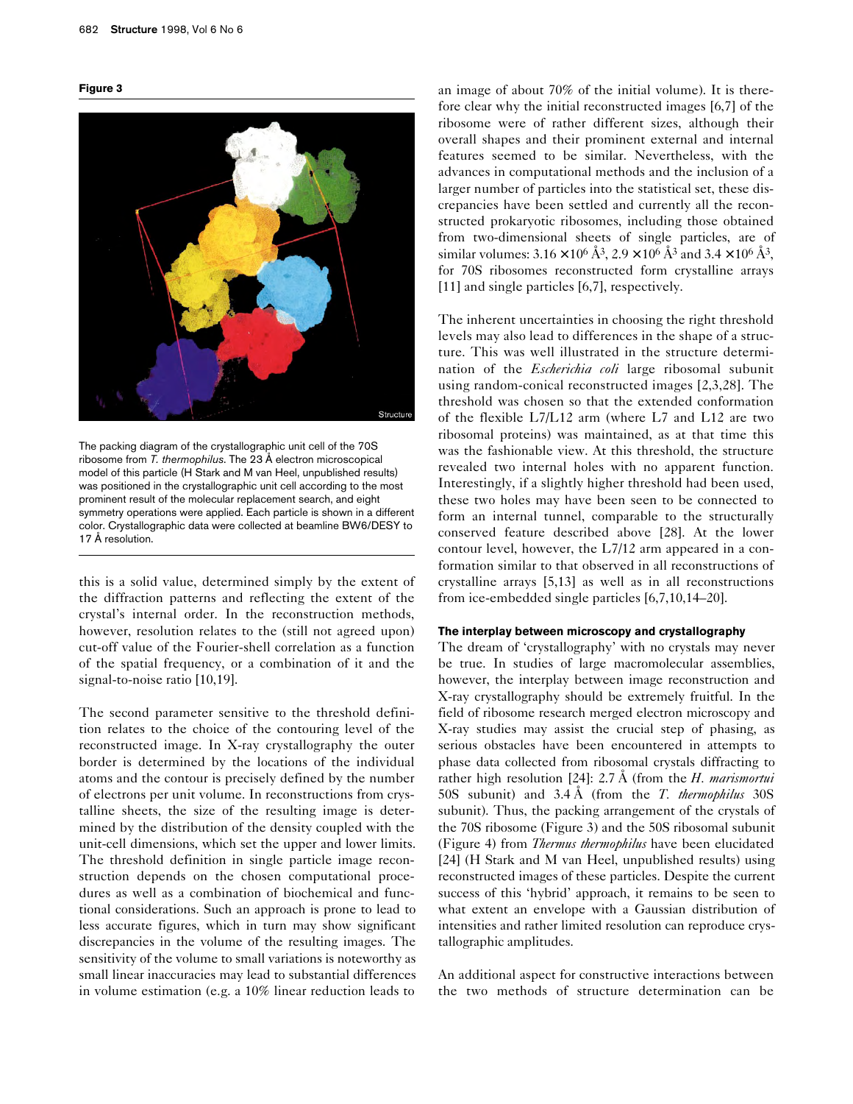**Figure 3**



The packing diagram of the crystallographic unit cell of the 70S ribosome from *T. thermophilus*. The 23 Å electron microscopical model of this particle (H Stark and M van Heel, unpublished results) was positioned in the crystallographic unit cell according to the most prominent result of the molecular replacement search, and eight symmetry operations were applied. Each particle is shown in a different color. Crystallographic data were collected at beamline BW6/DESY to 17 Å resolution.

this is a solid value, determined simply by the extent of the diffraction patterns and reflecting the extent of the crystal's internal order. In the reconstruction methods, however, resolution relates to the (still not agreed upon) cut-off value of the Fourier-shell correlation as a function of the spatial frequency, or a combination of it and the signal-to-noise ratio [10,19].

The second parameter sensitive to the threshold definition relates to the choice of the contouring level of the reconstructed image. In X-ray crystallography the outer border is determined by the locations of the individual atoms and the contour is precisely defined by the number of electrons per unit volume. In reconstructions from crystalline sheets, the size of the resulting image is determined by the distribution of the density coupled with the unit-cell dimensions, which set the upper and lower limits. The threshold definition in single particle image reconstruction depends on the chosen computational procedures as well as a combination of biochemical and functional considerations. Such an approach is prone to lead to less accurate figures, which in turn may show significant discrepancies in the volume of the resulting images. The sensitivity of the volume to small variations is noteworthy as small linear inaccuracies may lead to substantial differences in volume estimation (e.g. a 10% linear reduction leads to

an image of about 70% of the initial volume). It is therefore clear why the initial reconstructed images [6,7] of the ribosome were of rather different sizes, although their overall shapes and their prominent external and internal features seemed to be similar. Nevertheless, with the advances in computational methods and the inclusion of a larger number of particles into the statistical set, these discrepancies have been settled and currently all the reconstructed prokaryotic ribosomes, including those obtained from two-dimensional sheets of single particles, are of similar volumes:  $3.16 \times 10^6$  Å<sup>3</sup>,  $2.9 \times 10^6$  Å<sup>3</sup> and  $3.4 \times 10^6$  Å<sup>3</sup>, for 70S ribosomes reconstructed form crystalline arrays [11] and single particles [6,7], respectively.

The inherent uncertainties in choosing the right threshold levels may also lead to differences in the shape of a structure. This was well illustrated in the structure determination of the *Escherichia coli* large ribosomal subunit using random-conical reconstructed images [2,3,28]. The threshold was chosen so that the extended conformation of the flexible L7/L12 arm (where L7 and L12 are two ribosomal proteins) was maintained, as at that time this was the fashionable view. At this threshold, the structure revealed two internal holes with no apparent function. Interestingly, if a slightly higher threshold had been used, these two holes may have been seen to be connected to form an internal tunnel, comparable to the structurally conserved feature described above [28]. At the lower contour level, however, the L7/12 arm appeared in a conformation similar to that observed in all reconstructions of crystalline arrays [5,13] as well as in all reconstructions from ice-embedded single particles [6,7,10,14–20].

#### **The interplay between microscopy and crystallography**

The dream of 'crystallography' with no crystals may never be true. In studies of large macromolecular assemblies, however, the interplay between image reconstruction and X-ray crystallography should be extremely fruitful. In the field of ribosome research merged electron microscopy and X-ray studies may assist the crucial step of phasing, as serious obstacles have been encountered in attempts to phase data collected from ribosomal crystals diffracting to rather high resolution [24]: 2.7 Å (from the *H. marismortui* 50S subunit) and 3.4 Å (from the *T. thermophilus* 30S subunit). Thus, the packing arrangement of the crystals of the 70S ribosome (Figure 3) and the 50S ribosomal subunit (Figure 4) from *Thermus thermophilus* have been elucidated [24] (H Stark and M van Heel, unpublished results) using reconstructed images of these particles. Despite the current success of this 'hybrid' approach, it remains to be seen to what extent an envelope with a Gaussian distribution of intensities and rather limited resolution can reproduce crystallographic amplitudes.

An additional aspect for constructive interactions between the two methods of structure determination can be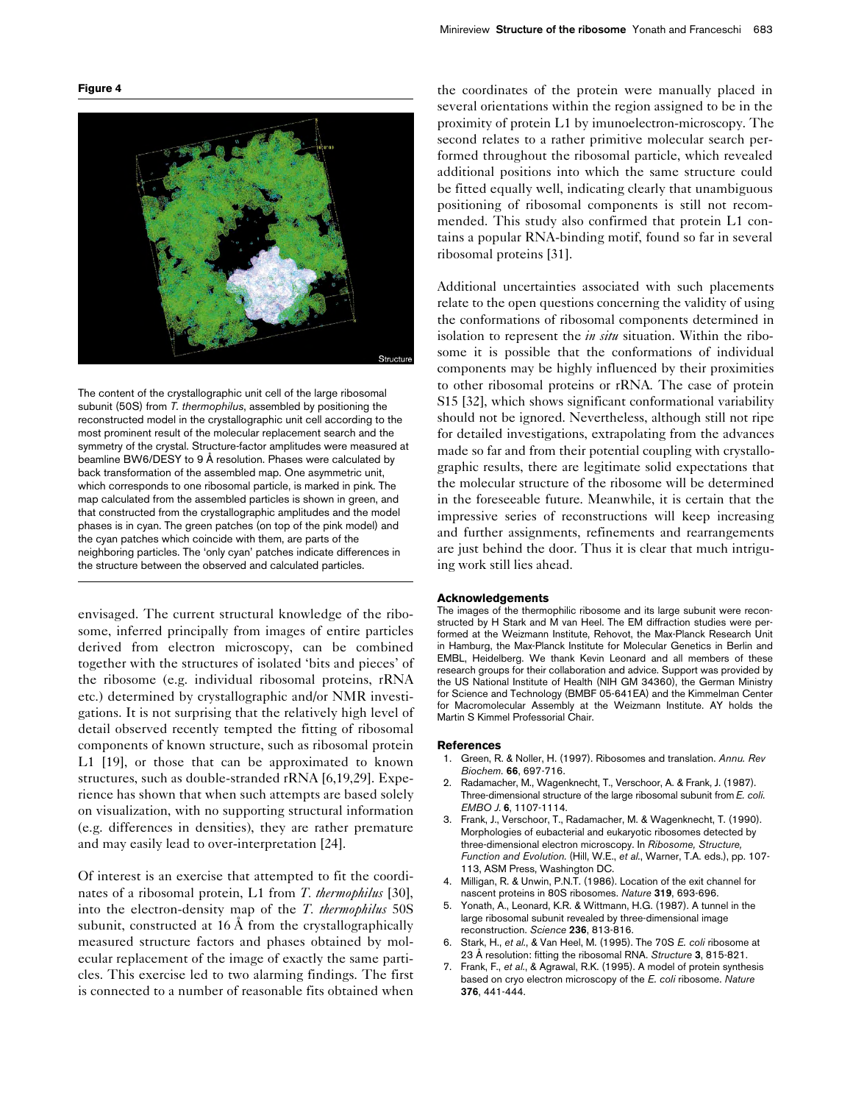#### **Figure 4**



The content of the crystallographic unit cell of the large ribosomal subunit (50S) from *T. thermophilus*, assembled by positioning the reconstructed model in the crystallographic unit cell according to the most prominent result of the molecular replacement search and the symmetry of the crystal. Structure-factor amplitudes were measured at beamline BW6/DESY to 9 Å resolution. Phases were calculated by back transformation of the assembled map. One asymmetric unit, which corresponds to one ribosomal particle, is marked in pink. The map calculated from the assembled particles is shown in green, and that constructed from the crystallographic amplitudes and the model phases is in cyan. The green patches (on top of the pink model) and the cyan patches which coincide with them, are parts of the neighboring particles. The 'only cyan' patches indicate differences in the structure between the observed and calculated particles.

envisaged. The current structural knowledge of the ribosome, inferred principally from images of entire particles derived from electron microscopy, can be combined together with the structures of isolated 'bits and pieces' of the ribosome (e.g. individual ribosomal proteins, rRNA etc.) determined by crystallographic and/or NMR investigations. It is not surprising that the relatively high level of detail observed recently tempted the fitting of ribosomal components of known structure, such as ribosomal protein L1 [19], or those that can be approximated to known structures, such as double-stranded rRNA [6,19,29]. Experience has shown that when such attempts are based solely on visualization, with no supporting structural information (e.g. differences in densities), they are rather premature and may easily lead to over-interpretation [24].

Of interest is an exercise that attempted to fit the coordinates of a ribosomal protein, L1 from *T. thermophilus* [30], into the electron-density map of the *T. thermophilus* 50S subunit, constructed at 16 Å from the crystallographically measured structure factors and phases obtained by molecular replacement of the image of exactly the same particles. This exercise led to two alarming findings. The first is connected to a number of reasonable fits obtained when the coordinates of the protein were manually placed in several orientations within the region assigned to be in the proximity of protein L1 by imunoelectron-microscopy. The second relates to a rather primitive molecular search performed throughout the ribosomal particle, which revealed additional positions into which the same structure could be fitted equally well, indicating clearly that unambiguous positioning of ribosomal components is still not recommended. This study also confirmed that protein L1 contains a popular RNA-binding motif, found so far in several ribosomal proteins [31].

Additional uncertainties associated with such placements relate to the open questions concerning the validity of using the conformations of ribosomal components determined in isolation to represent the *in situ* situation. Within the ribosome it is possible that the conformations of individual components may be highly influenced by their proximities to other ribosomal proteins or rRNA. The case of protein S15 [32], which shows significant conformational variability should not be ignored. Nevertheless, although still not ripe for detailed investigations, extrapolating from the advances made so far and from their potential coupling with crystallographic results, there are legitimate solid expectations that the molecular structure of the ribosome will be determined in the foreseeable future. Meanwhile, it is certain that the impressive series of reconstructions will keep increasing and further assignments, refinements and rearrangements are just behind the door. Thus it is clear that much intriguing work still lies ahead.

#### **Acknowledgements**

The images of the thermophilic ribosome and its large subunit were reconstructed by H Stark and M van Heel. The EM diffraction studies were performed at the Weizmann Institute, Rehovot, the Max-Planck Research Unit in Hamburg, the Max-Planck Institute for Molecular Genetics in Berlin and EMBL, Heidelberg. We thank Kevin Leonard and all members of these research groups for their collaboration and advice. Support was provided by the US National Institute of Health (NIH GM 34360), the German Ministry for Science and Technology (BMBF 05-641EA) and the Kimmelman Center for Macromolecular Assembly at the Weizmann Institute. AY holds the Martin S Kimmel Professorial Chair.

#### **References**

- 1. Green, R. & Noller, H. (1997). Ribosomes and translation. *Annu. Rev Biochem*. **66**, 697-716.
- 2. Radamacher, M., Wagenknecht, T., Verschoor, A. & Frank, J. (1987). Three-dimensional structure of the large ribosomal subunit from *E. coli*. *EMBO J*. **6**, 1107-1114.
- 3. Frank, J., Verschoor, T., Radamacher, M. & Wagenknecht, T. (1990). Morphologies of eubacterial and eukaryotic ribosomes detected by three-dimensional electron microscopy. In *Ribosome, Structure, Function and Evolution.* (Hill, W.E., *et al.*, Warner, T.A. eds.), pp. 107- 113, ASM Press, Washington DC.
- 4. Milligan, R. & Unwin, P.N.T. (1986). Location of the exit channel for nascent proteins in 80S ribosomes. *Nature* **319**, 693-696.
- 5. Yonath, A., Leonard, K.R. & Wittmann, H.G. (1987). A tunnel in the large ribosomal subunit revealed by three-dimensional image reconstruction. *Science* **236**, 813-816.
- 6. Stark, H., *et al.*, & Van Heel, M. (1995). The 70S *E. coli* ribosome at 23 Å resolution: fitting the ribosomal RNA. *Structure* **3**, 815-821.
- 7. Frank, F., *et al.*, & Agrawal, R.K. (1995). A model of protein synthesis based on cryo electron microscopy of the *E. coli* ribosome. *Nature* **376**, 441-444.